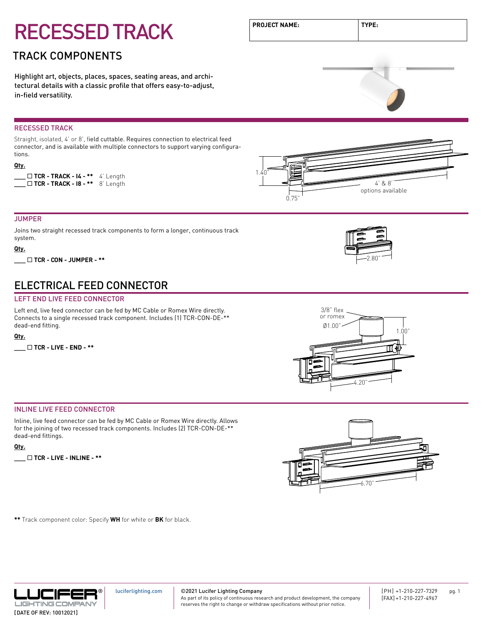### TRACK COMPONENTS

Highlight art, objects, places, spaces, seating areas, and architectural details with a classic profile that offers easy-to-adjust, in-field versatility.

#### RECESSED TRACK

Straight, isolated, 4' or 8', field cuttable. Requires connection to electrical feed connector, and is available with multiple connectors to support varying configurations.

#### **Qty.**

|  |  | $\Box$ TCR - TRACK - I4 - ** 4' Length |
|--|--|----------------------------------------|
|  |  | $\Box$ TCR - TRACK - 18 - ** 8' Length |

#### JUMPER

Joins two straight recessed track components to form a longer, continuous track system.

#### **Qty.**

**\_\_\_** ¨ **TCR - CON - JUMPER - \*\*** 2.80"

### ELECTRICAL FEED CONNECTOR

#### LEFT END LIVE FEED CONNECTOR

Left end, live feed connector can be fed by MC Cable or Romex Wire directly. Connects to a single recessed track component. Includes (1) TCR-CON-DE-\*\* dead-end fitting.

#### **Qty.**

**\_\_\_** ¨ **TCR - LIVE - END - \*\***



3/8" flex or romex

#### INLINE LIVE FEED CONNECTOR

Inline, live feed connector can be fed by MC Cable or Romex Wire directly. Allows for the joining of two recessed track components. Includes (2) TCR-CON-DE-\*\* dead-end fittings.

#### **Qty.**

**\_\_\_** ¨ **TCR - LIVE - INLINE - \*\***

**\*\*** Track component color: Specify **WH** for white or **BK** for black.



©2021 Lucifer Lighting Company As part of its policy of continuous research and product development, the company reserves the right to change or withdraw specifications without prior notice.





0.75"

1.40"



4' & 8' options available

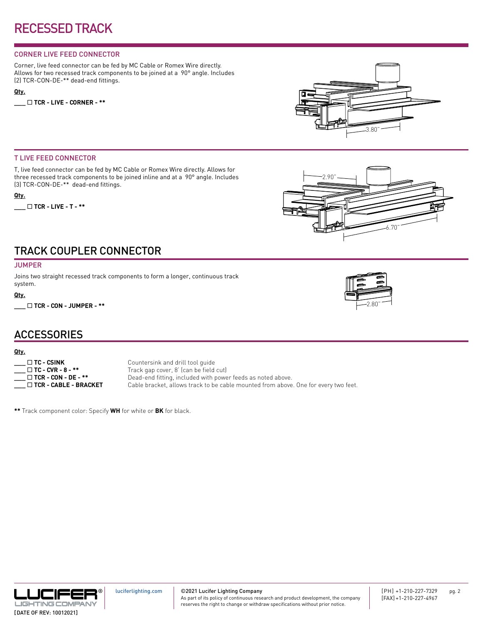#### CORNER LIVE FEED CONNECTOR

Corner, live feed connector can be fed by MC Cable or Romex Wire directly. Allows for two recessed track components to be joined at a 90° angle. Includes (2) TCR-CON-DE-\*\* dead-end fittings.

#### **Qty.**

**\_\_\_** ¨ **TCR - LIVE - CORNER - \*\***



#### T LIVE FEED CONNECTOR

T, live feed connector can be fed by MC Cable or Romex Wire directly. Allows for three recessed track components to be joined inline and at a 90° angle. Includes (3) TCR-CON-DE-\*\* dead-end fittings.

#### **Qty.**

**\_\_\_** ¨ **TCR - LIVE - T - \*\***



# TRACK COUPLER CONNECTOR

#### **JUMPER**

Joins two straight recessed track components to form a longer, continuous track system.

#### **Qty.**

**\_\_\_** ¨ **TCR - CON - JUMPER - \*\***

## **ACCESSORIES**

#### **Qty.**

| $\Box$ TC - CSINK           |
|-----------------------------|
| $\Box$ TC - CVR - 8 - **    |
| $\Box$ TCR - CON - DE - **  |
| $\Box$ TCR - CABLE - BRACKE |

Countersink and drill tool quide Track gap cover, 8' (can be field cut) Dead-end fitting, included with power feeds as noted above. **T** Cable bracket, allows track to be cable mounted from above. One for every two feet.

**\*\*** Track component color: Specify **WH** for white or **BK** for black.





[luciferlighting.com](http://luciferlighting.com/)

©2021 Lucifer Lighting Company

As part of its policy of continuous research and product development, the company reserves the right to change or withdraw specifications without prior notice.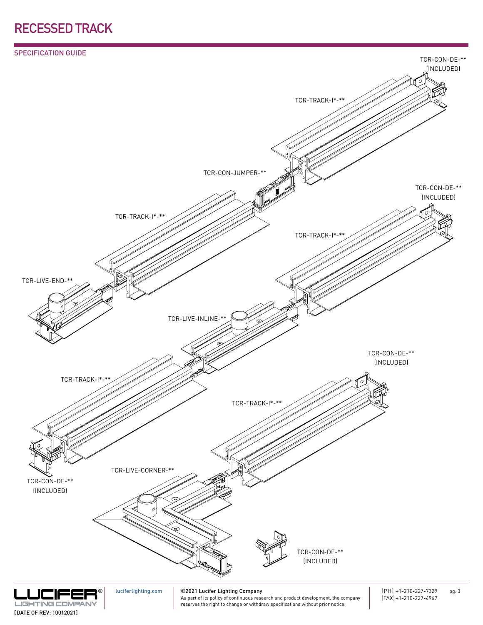



#### [DATE OF REV: 10012021]